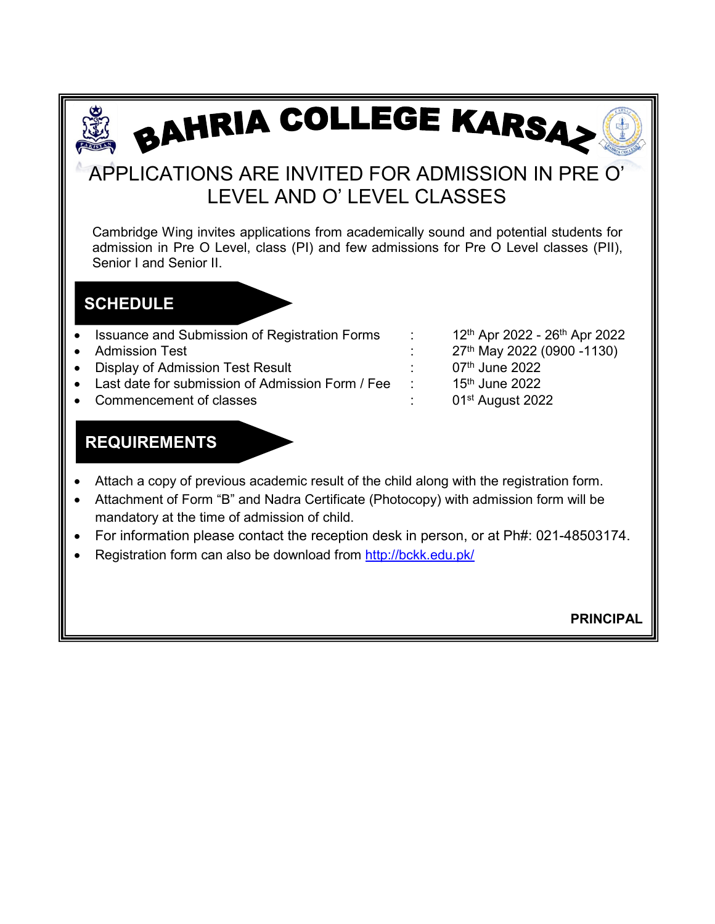# BAHRIA COLLEGE KARSA

# APPLICATIONS ARE INVITED FOR ADMISSION IN PRE O' LEVEL AND O' LEVEL CLASSES

Cambridge Wing invites applications from academically sound and potential students for admission in Pre O Level, class (PI) and few admissions for Pre O Level classes (PII), Senior I and Senior II.

## **SCHEDULE**

ī

- Issuance and Submission of Registration Forms : 12<sup>th</sup> Apr 2022 26<sup>th</sup> Apr 2022
- 
- **Display of Admission Test Result**
- Last date for submission of Admission Form / Fee : 15<sup>th</sup> June 2022
- Commencement of classes **1988** Commencement of classes **in the COL** 2022

Provide a test of Admission Test in the State of Admission Test Result<br>
a contract the contract of Admission Test Result<br>
a contract of Admission Test Result<br>
A contract of Admission Test Result<br>
A contract of Admission Te

## **REQUIREMENTS**

- Attach a copy of previous academic result of the child along with the registration form.
- Attachment of Form "B" and Nadra Certificate (Photocopy) with admission form will be mandatory at the time of admission of child.
- For information please contact the reception desk in person, or at Ph#: 021-48503174.
- Registration form can also be download from<http://bckk.edu.pk/>

**PRINCIPAL**